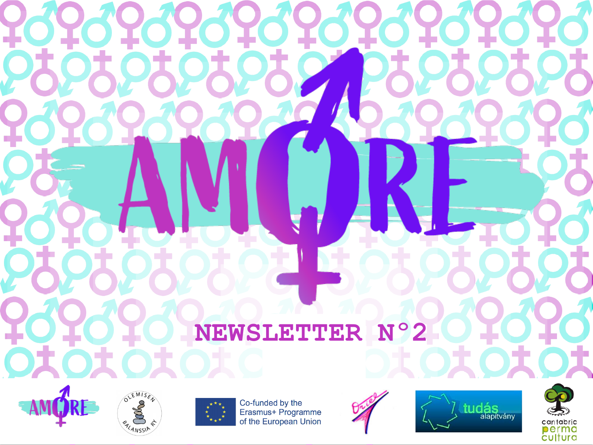## **NEWSLETTER Nº2**





Co-funded by the<br>Erasmus+ Programme of the European Union





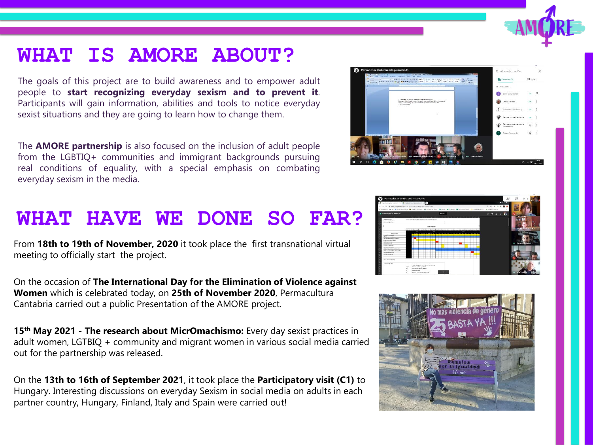## **WHAT IS AMORE ABOUT?**

The goals of this project are to build awareness and to empower adult people to **start recognizing everyday sexism and to prevent it**. Participants will gain information, abilities and tools to notice everyday sexist situations and they are going to learn how to change them.

The **AMORE partnership** is also focused on the inclusion of adult people from the LGBTIQ+ communities and immigrant backgrounds pursuing real conditions of equality, with a special emphasis on combating everyday sexism in the media.

## **WHAT HAVE WE DONE SO FAR?**

From **18th to 19th of November, 2020** it took place the first transnational virtual meeting to officially start the project.

On the occasion of **The International Day for the Elimination of Violence against Women** which is celebrated today, on **25th of November 2020**, Permacultura Cantabria carried out a public Presentation of the AMORE project.

**15th May 2021 - The research about MicrOmachismo:** Every day sexist practices in adult women, LGTBIQ + community and migrant women in various social media carried out for the partnership was released.

On the **13th to 16th of September 2021**, it took place the **Participatory visit (C1)** to Hungary. Interesting discussions on everyday Sexism in social media on adults in each partner country, Hungary, Finland, Italy and Spain were carried out!